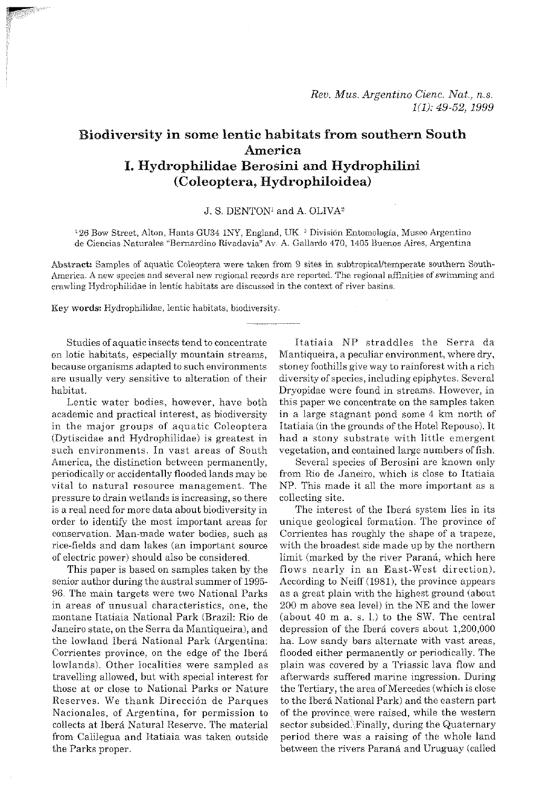# **Biodiversity in some lentie habitats from southern South America I. Hydrophilidae Berosini and Hydrophilini (Coleoptera, Ilydrophiloidea)**

# J. S. DENTON1 and A. OLIVA2

<sup>1</sup>26 Bow Street, Alton, Hants GU34 1NY, England, UK.<sup>2</sup> División Entomología, Museo Argentino de Ciencias Naturales "Bernardino Rivadavia" Av. A. Gallardo 470, 1405 Buenos Aires, Argentina

Abstract: Samples of aquatic Coleoptera were taken from 9 sites in subtropical/temperate southern South-America. A new species and several new regional records are reported. The regional affinities of swimming and crawling Hydraphilidae in lentic habitats are discussed in the context of river basins.

Key **words:** Hydrophilidae, lentic habitats, biodiversity.

Studies of aquatic insects tend to concentrate on lotic habitats, especially mountain streams, because organisms adapted to such environments are usually very sensitive to alteration of their habitat.

Lentic water bodies, however, have both academic and practical interest, as biodiversity in the major groups of aquatic Coleoptera (Dytiscidae and Hydrophilidae) is greatest in such environments. In vast areas of South America, the distinction between permanently, periodically or accidentally flooded lands may be vital to natural resource management. The pressure to drain wetlands is increasing, so there is a real need for more data about biodiversity in order to identify the most important areas for conservation. Man-made water bodies, such as rice-fields and dam lakes (an important source of electric power) should also he considered.

This paper is based on samples taken by the senior author during the austral summer of 1995- 96. The main targets were two National Parks in areas of unusual characteristics, one, the montane Itatiaia National Park (Brazil: Rio de Janeiro state, on the Serra da Mantiqueira), and the lowland Ibera National Park (Argentina: Corrientes province, on the edge of the Ibera lowlands). Other localities were sampled as travelling allowed, but with special interest for those at or close to National Parks or Nature Reserves. We thank Dirección de Parques Nacionales, of Argentina, for permission to collects at Ihera Natural Reserve. The material from Calilegua and Itatiaia was taken outside the Parks proper.

Itatiaia NP straddles the Serra da Mantiqueira, a peculiar environment, where dry, stoney foothills give way to rainforest with a rich diversity of species, including epiphytes. Several Dryopidae were found in streams. However, in this paper we concentrate on the samples taken in a large stagnant pond some 4 km north of Itatiaia (in the grounds of the Hotel Repouso), It had a stony substrate with little emergent vegetation, and contained large numbers of fish.

Several species of Berosini are known only from Rio de Janeiro, which is close to Itatiaia NP. This made it all the more important as a collecting site.

The interest of the Ibera system lies in its unique geological formation. The province of Corrientes has roughly the shape of a trapeze, with the broadest side made up by the northern limit (marked by the river Paraná, which here flows nearly in an East-West direction). According to Neiff (1981), the province appears as a great plain with the highest ground (about 200 m above sea level) in the NE and the lower (about  $40$  m a. s. l.) to the SW. The central depression of the Iberá covers about 1,200,000 ha. Low sandy bars alternate with vast areas, flooded either permanently or periodically. The plain was covered by a Triassic lava flow and afterwards sufferod marine ingression. During the Tertiary, the area of Mercedes (which is close to the Ibera National Park) and the eastern part of the province were raised, while the western sector subsided. Finally, during the Quaternary period there was a raising of the whole land between the rivers Paraná and Uruguay (called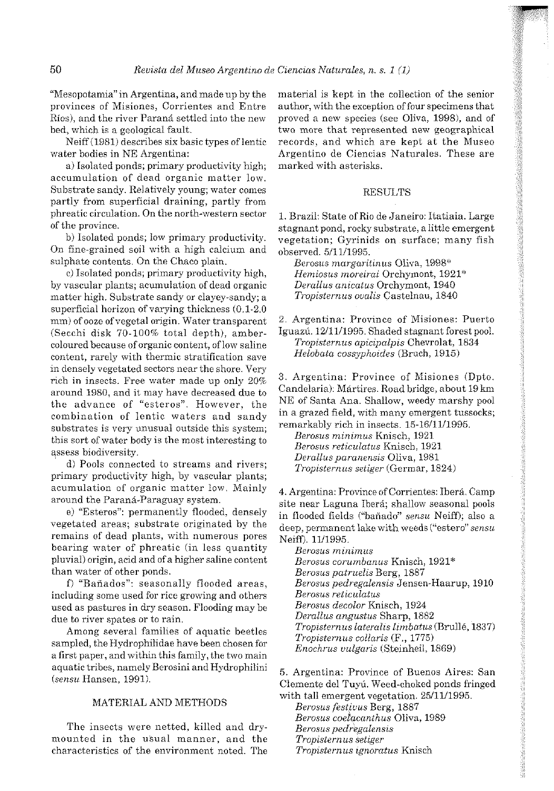"Mesopotamia" in Argentina, and made up by the provinces of Misiones, Corrientes and Entre Ríos), and the river Paraná settled into the new bed, which **ii** a geological fault.

Neiff (1981) describes six basic types of lentic water bodies in NE Argentina:

a) lsolated ponds; primary productivity high; accumulation of dead organic matter low. Substrate sandy. Relatively young; water comes partly from superficial draining, partly from phreatic circulation. On the north-western sector of the province.

b) Isolated ponds; low primary productivity. On fine-grained soil with a high calcium and sulphate contents. On the Chaco plain.

c) Isolated ponds; primary productivity high, Hemiosus moreirai Orchymont, 192<br>vascular plants; acumulation of dead organic Derallus anicatus Orchymont, 1940 by vascular plants; acumulation of dead organic matter high. Substrate sandy or clayey-sandy; a superficial horizon of varying thickness (0.1-2.0 mm) of ooze of vegetal origin. Water transparent (Secchi disk 70.100% total depth), ambercoloured because of organic content, of low saline content, rarely with thermic stratification save in densely vegetated sectors near the shore. Very rich in insects. Free water made up only 20% around 1980, and it may have decreased due to the advance of "esteros". However, the combination of lentic waters and sandy substrates is very unusual outside this system; this sort of water body is the most interesting to assess biodiversity.

d) Pools connected to streams and rivers; primary productivity high, by vascular plants; acumulation of organic matter low. Mainly around the Paraná-Paraguay system.

**c)** "Esteros": permanently flooded, densely vegetated areas; substrate originated by the remains of dead plants, with numerous pores bearing water of phreatic (in less quantity pluvial) origin, acid and of a higher saline content than water of other ponds.

f) "Bañados": seasonally flooded areas, including some used for rice growing and others used as pastures in dry season. Flooding may be due to river spates or to rain.

Among several families of aquatic beetles sampled, the Hydrophilidae have been chosen for a first paper, and within this family, the two main aquatic tribes, namely Berosini and Hydrophilini (sensu Hansen, 1991).

# MATERIAL AND METHODS

The insects were netted, killed and drymounted in the usual manner, and the characteristics of the environment noted. The

material is kept in the collection of the senior author, with the exception of four specimens that proved a new species (see Oliva, 1998), and of two more that represented new geographical records, and which are kept at the Museo Argentino de Ciencias Naturdlcs. These are marked with asterisks.

# **RESULTS**

1. Brazil: State of Rio de Janeiro: Itatiaia. Large stagnant pond, rocky suhstrate, a little emergent vegetation; Gyrinids on surface; many fish observed. 5/11/1995.

Berosus margaritinus Oliva, 1998\*<br>Hemiosus moreirai Orchymont, 1921\* Tropisternus ovalis Castelnau, 1840

2. Argentina: Province of Misiones: Puerto Iguazú. 12/11/1995. Shaded stagnant forest pool. Tropisternus apicipalpis Chevrolat, 1834 Helobata cossyphoides (Bruch, 1915)

*3.* Argentina: Province of Misiones (Dpto. Candeiaria): Martires. Road bridge, about 19 **km**  NE of Santa Ana. Shallow, weedy marshy pool in a grazed field, with many emergent tussocks; remarkably rich in insects. 15-1611V1995.

Berosus minimus Knisch, 1921 Berosus reticulatus Knisch, 1921 Derallus paranensis Oliva, 1981 Tropisternus setiger (Germar, 1824)

4. Argentina: Province of Gorrientes: Ibera. Camp site near Laguna Iberá; shallow seasonal pools in flooded fields ("bañado" sensu Neiff); also a deep, permanent lake with weeds ("estero" sensu Neiff). 11/1995.

Berosus minimus Berosus corumhanus Knisch, 1921" Berosus patruelis Berg, 1887 Berosus pedregalensis Jensen-Haarup, 1910 Berosus reticulatus Berosus decolor Knisch, 1924 Derallus angustus Sharp, 1882 Tropisternus lateralis limbatus (Brullé, 1837) Tropisternus collaris (F., 1775) Enochrus uulgaris (Steinheil, 1869)

5. Argentina: Province of Buenos Aires: San Clemente del Tuyú. Weed-choked ponds fringed with tall emergent vegetation. 25/11/1995.

Berosus festiuus Berg, 1887 Berosus coelacanthus Oliva, 1989 Berosus pedregalensis Tropisternus setiger Tropisternus ignoratus Knisch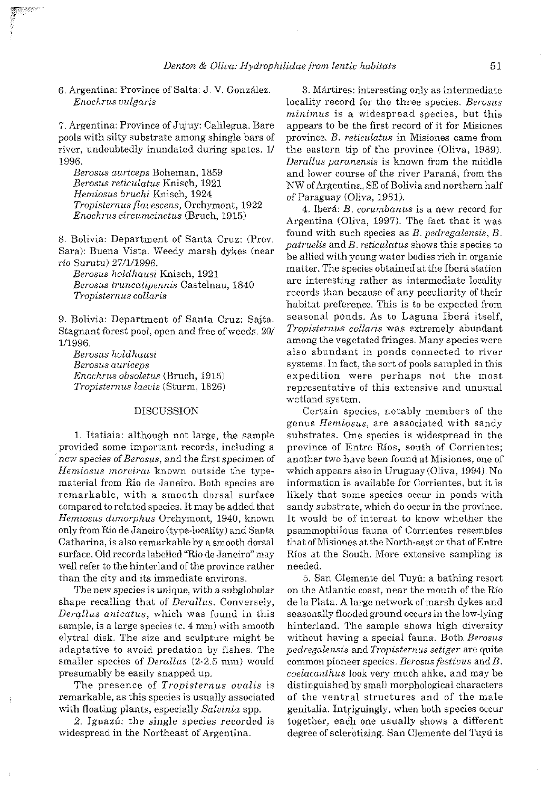6. Argentina: Province of Salta: J. V. Gonzilez. Enochrus vulgaris

7. Argentina: Province of Jujuy: Calilegna. Bare pools with silty substrate among shingle bars of river, undoubtedly inundated during spates. 1/ 1996.

Berosus auriceps Boheman, 1859 Berosus reticulatus Knisch, 1921 Hemiosus bruchi Knisch, 1924 Tropisternus jlauescens, Orchymont, 1922 Enochrus circumcinctw (Bruch, 1915)

8. Bolivia: Department of Santa Cruz: (Prov. Sara): Buena Vista. Weedy marsh dykes (near ria Surutu) 27/1/1996.

Berosus holdhausi Knisch, 1921 Berosus truncatipennis Castelnau, 1840 Tropisternus collaris

9. Bolivia: Department of Santa Cruz: Sajta. Stagnant forest pool, open and free of weeds. 20/ V1996.

Berosus holdhausi Berosus auriceps Enochrus obsoletus (Brnch, 1915) Tropisternus laevis (Sturm, 1826)

#### DISCUSSION

1. Itatiaia: although not large, the sample provided some important records, including a new species of Berosus, and the first specimen of Hemiosus moreirai known outside the typematerial from Rio de Janeiro. Both species are remarkable, with a smooth dorsal surface compared to related species. It may be added that Hemiosus dimorphus Orchymont, 1940, known only from Rio de Janeiro (type-locality) and Santa Catharina, is also remarkable by a smooth dorsal surface. Old records 1abelled"Rio de Janeiro"may well refer to the hinterland of the province rather than the city and its immediate environs.

The new species is unique, with a subglobular shape recalling that of Derallus. Conversely, Derallus anicatus, which was found in this sample, is a large species (c. 4 mm) with smooth elytral disk. The size and sculpture might be adaptative to avoid predation by fishes. The smaller species of *Derallus*  $(2-2.5 \text{ mm})$  would presumably be easily snapped up.

The presence of *Tropisternus* ovalis is remarkable, as this species is usually associated with floating plants, especially Salvinia spp.

2. Iguazú: the single species recorded is widespread in the Northeast of Argentina.

3. Martires: interesting only as intermediate locality record for the three species. Berosus minimus is a widespread species, but this appears to be the first record of it for Misiones province. B. reticulatus in Misiones came from the eastern tip of the province (Oliva, 1989). Derallus paranensis is known from the middle and lower course of the river Parana, from the NW ofArgentina, SE of Bolivia and northern half of Paraguay (Oliva, 1981).

4. lbera: B, corumbanus is a new record for Argentina (Oliva, 1997). The fact that it was found with such species as  $B$ . pedregalensis,  $B$ .  $partuelis$  and  $B.$  reticulatus shows this species to be allied with young water bodies rich in organic matter. The species obtained at the Ibera station are interesting rather as intermediate locality records than because of any peculiarity of their habitat preference. This is to be expected from seasonal ponds. As to Laguna Iberá itself, Tropisternus collaris was extremely abundant among the vegetated fringes. Many species were also abundant in ponds connected to river systems. In fact, the sort of pools sampled in this expedition were perhaps not the most representative of this extensive and unusual wetland system.

Certain species, notably members of the genus Hemiosus, are associated with sandy substrates. One species is widespread in the province of Entre Rios, south of Corrientes; another two have been found at Misiones, one of which appears also in Uruguay (Oliva, 1994). No information is available for Corrientes, but it is likely that some species occur in ponds with sandy substrate, which do occur in the province. It would be of interest to know whether the psammophilous fauna of Corrientes resembles that of Misiones at the North-east or that of Entre Rios at the South. More extensive sampling is needed.

5. San Clemente del Tnyii: a bathing resort on the Atlantic coast, near the mouth of the Río de la Plata. A large network of marsh dykes and seasonally floodedground occurs in the low-lying hinterland. The sample shows high diversity without having a special fauna. Both *Berosus* pedregalensis and Tropisternus setiger are quite common pioneer species. Berosus festivus and  $B$ . coelacanthus look very much alike, and may be distinguished by small morphological characters of the ventral structures and of the male genitaiia. Intriguingly, when both species occur together, each one usually shows a different degree of sclerotizing. San Clemente del Tuyú is